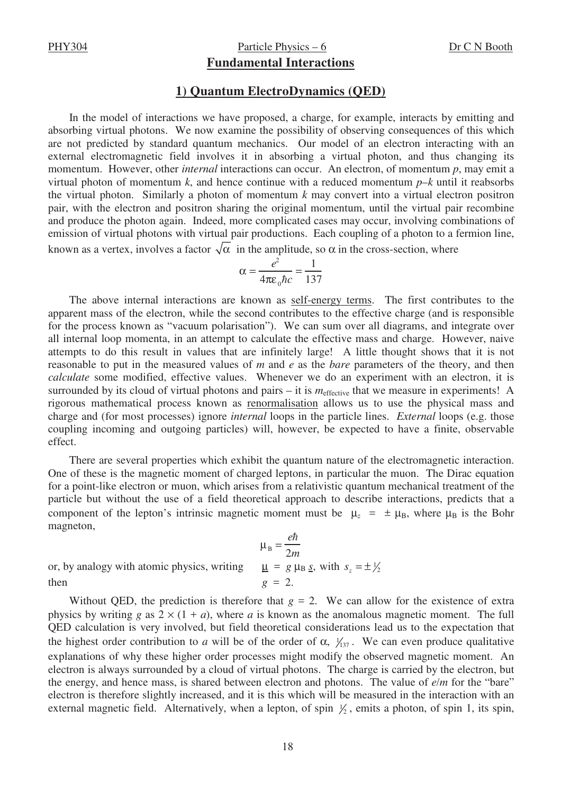## PHY304 Particle Physics – 6 Dr C N Booth

## **Fundamental Interactions**

## **1) Quantum ElectroDynamics (QED)**

In the model of interactions we have proposed, a charge, for example, interacts by emitting and absorbing virtual photons. We now examine the possibility of observing consequences of this which are not predicted by standard quantum mechanics. Our model of an electron interacting with an external electromagnetic field involves it in absorbing a virtual photon, and thus changing its momentum. However, other *internal* interactions can occur. An electron, of momentum *p*, may emit a virtual photon of momentum k, and hence continue with a reduced momentum  $p-k$  until it reabsorbs the virtual photon. Similarly a photon of momentum *k* may convert into a virtual electron positron pair, with the electron and positron sharing the original momentum, until the virtual pair recombine and produce the photon again. Indeed, more complicated cases may occur, involving combinations of emission of virtual photons with virtual pair productions. Each coupling of a photon to a fermion line, known as a vertex, involves a factor  $\sqrt{\alpha}$  in the amplitude, so  $\alpha$  in the cross-section, where

$$
\alpha = \frac{e^2}{4\pi\varepsilon_0\hbar c} = \frac{1}{137}
$$

The above internal interactions are known as self-energy terms. The first contributes to the apparent mass of the electron, while the second contributes to the effective charge (and is responsible for the process known as "vacuum polarisation"). We can sum over all diagrams, and integrate over all internal loop momenta, in an attempt to calculate the effective mass and charge. However, naive attempts to do this result in values that are infinitely large! A little thought shows that it is not reasonable to put in the measured values of *m* and *e* as the *bare* parameters of the theory, and then *calculate* some modified, effective values. Whenever we do an experiment with an electron, it is surrounded by its cloud of virtual photons and pairs – it is  $m_{effective}$  that we measure in experiments! A rigorous mathematical process known as renormalisation allows us to use the physical mass and charge and (for most processes) ignore *internal* loops in the particle lines. *External* loops (e.g. those coupling incoming and outgoing particles) will, however, be expected to have a finite, observable effect.

There are several properties which exhibit the quantum nature of the electromagnetic interaction. One of these is the magnetic moment of charged leptons, in particular the muon. The Dirac equation for a point-like electron or muon, which arises from a relativistic quantum mechanical treatment of the particle but without the use of a field theoretical approach to describe interactions, predicts that a component of the lepton's intrinsic magnetic moment must be  $\mu_z = \pm \mu_B$ , where  $\mu_B$  is the Bohr magneton,

$$
\mu_{B} = \frac{e\hbar}{2m}
$$
  
or, by analogy with atomic physics, writing 
$$
\mu_{B} = \frac{e\hbar}{2m}
$$
  
then 
$$
\mu_{B} = \frac{e\hbar}{2m}
$$

$$
\mu_{B} = g \mu_{B} g, \text{ with } s_{z} = \pm y_{z}
$$

Without QED, the prediction is therefore that  $g = 2$ . We can allow for the existence of extra physics by writing *g* as  $2 \times (1 + a)$ , where *a* is known as the anomalous magnetic moment. The full QED calculation is very involved, but field theoretical considerations lead us to the expectation that the highest order contribution to *a* will be of the order of  $\alpha$ ,  $\frac{1}{137}$ . We can even produce qualitative explanations of why these higher order processes might modify the observed magnetic moment. An electron is always surrounded by a cloud of virtual photons. The charge is carried by the electron, but the energy, and hence mass, is shared between electron and photons. The value of *e*/*m* for the "bare" electron is therefore slightly increased, and it is this which will be measured in the interaction with an external magnetic field. Alternatively, when a lepton, of spin  $\frac{1}{2}$ , emits a photon, of spin 1, its spin,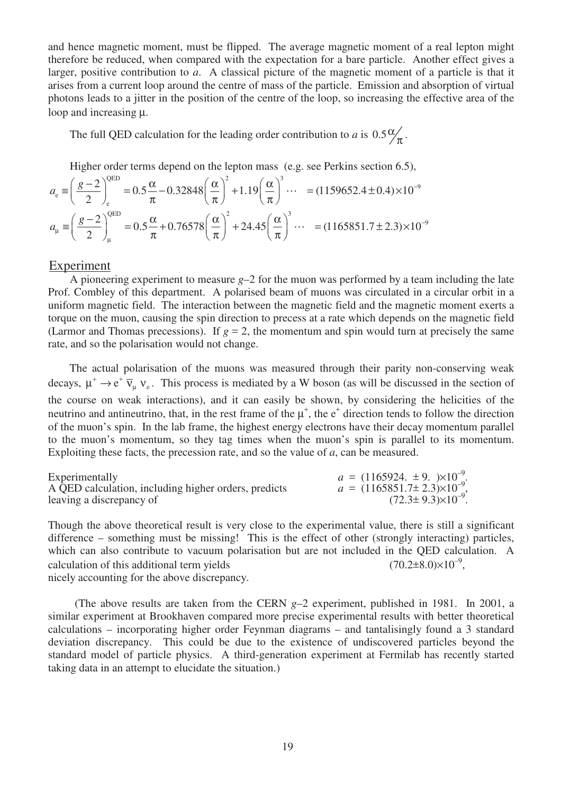and hence magnetic moment, must be flipped. The average magnetic moment of a real lepton might therefore be reduced, when compared with the expectation for a bare particle. Another effect gives a larger, positive contribution to *a*. A classical picture of the magnetic moment of a particle is that it arises from a current loop around the centre of mass of the particle. Emission and absorption of virtual photons leads to a jitter in the position of the centre of the loop, so increasing the effective area of the loop and increasing µ.

The full QED calculation for the leading order contribution to *a* is  $0.5\frac{\alpha}{\pi}$ .

Higher order terms depend on the lepton mass (e.g. see Perkins section 6.5),

$$
a_{e} \equiv \left(\frac{g-2}{2}\right)_{e}^{QED} = 0.5\frac{\alpha}{\pi} - 0.32848\left(\frac{\alpha}{\pi}\right)^{2} + 1.19\left(\frac{\alpha}{\pi}\right)^{3} \cdots = (1159652.4 \pm 0.4) \times 10^{-9}
$$
  

$$
a_{\mu} \equiv \left(\frac{g-2}{2}\right)_{\mu}^{QED} = 0.5\frac{\alpha}{\pi} + 0.76578\left(\frac{\alpha}{\pi}\right)^{2} + 24.45\left(\frac{\alpha}{\pi}\right)^{3} \cdots = (1165851.7 \pm 2.3) \times 10^{-9}
$$

## Experiment

A pioneering experiment to measure *g*–2 for the muon was performed by a team including the late Prof. Combley of this department. A polarised beam of muons was circulated in a circular orbit in a uniform magnetic field. The interaction between the magnetic field and the magnetic moment exerts a torque on the muon, causing the spin direction to precess at a rate which depends on the magnetic field (Larmor and Thomas precessions). If  $g = 2$ , the momentum and spin would turn at precisely the same rate, and so the polarisation would not change.

The actual polarisation of the muons was measured through their parity non-conserving weak decays,  $\mu^+ \to e^+ \bar{\nu}_{\mu} \nu_e$ . This process is mediated by a W boson (as will be discussed in the section of the course on weak interactions), and it can easily be shown, by considering the helicities of the neutrino and antineutrino, that, in the rest frame of the  $\mu^+$ , the  $e^+$  direction tends to follow the direction of the muon's spin. In the lab frame, the highest energy electrons have their decay momentum parallel to the muon's momentum, so they tag times when the muon's spin is parallel to its momentum. Exploiting these facts, the precession rate, and so the value of *a*, can be measured.

| Experimentally                                       | $a = (1165924, \pm 9, \sqrt{10^{-9}})$ .   |
|------------------------------------------------------|--------------------------------------------|
| A QED calculation, including higher orders, predicts | $a = (1165851.7 \pm 2.3) \times 10^{-9}$ , |
| leaving a discrepancy of                             | $(72.3 \pm 9.3) \times 10^{-9}$ .          |

Though the above theoretical result is very close to the experimental value, there is still a significant difference – something must be missing! This is the effect of other (strongly interacting) particles, which can also contribute to vacuum polarisation but are not included in the QED calculation. A calculation of this additional term yields  $(70.2 \pm 8.0) \times 10^{-9}$ . nicely accounting for the above discrepancy.

(The above results are taken from the CERN *g*–2 experiment, published in 1981. In 2001, a similar experiment at Brookhaven compared more precise experimental results with better theoretical calculations – incorporating higher order Feynman diagrams – and tantalisingly found a 3 standard deviation discrepancy. This could be due to the existence of undiscovered particles beyond the standard model of particle physics. A third-generation experiment at Fermilab has recently started taking data in an attempt to elucidate the situation.)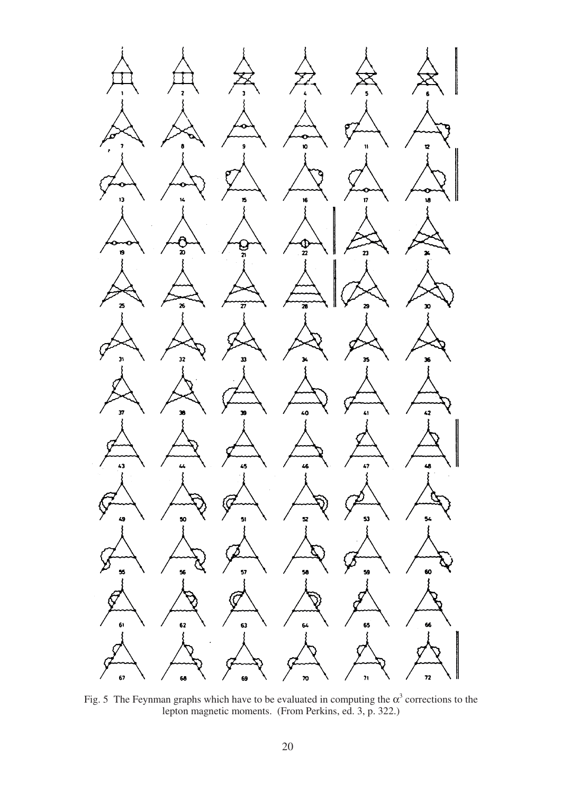

Fig. 5 The Feynman graphs which have to be evaluated in computing the  $\alpha^3$  corrections to the lepton magnetic moments. (From Perkins, ed. 3, p. 322.)